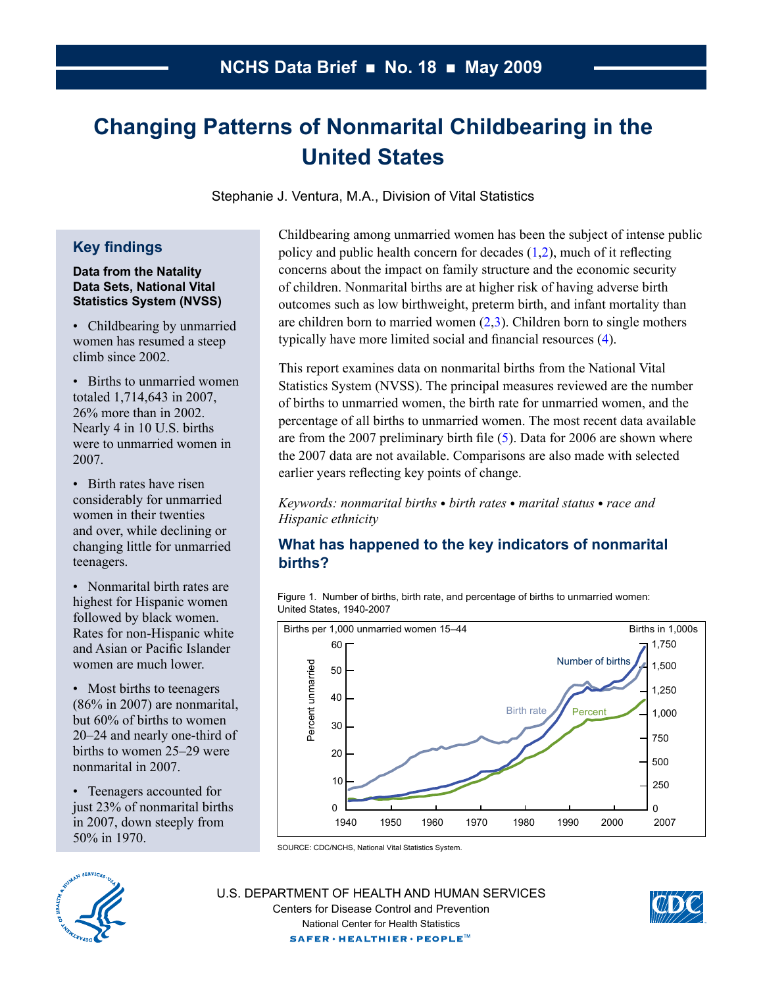# **Changing Patterns of Nonmarital Childbearing in the United States**

Stephanie J. Ventura, M.A., Division of Vital Statistics

# **Key findings**

#### **Data from the Natality Data Sets, National Vital Statistics System (NVSS)**

• Childbearing by unmarried women has resumed a steep climb since 2002.

• Births to unmarried women totaled 1,714,643 in 2007, 26% more than in 2002. Nearly 4 in 10 U.S. births were to unmarried women in 2007.

• Birth rates have risen considerably for unmarried women in their twenties and over, while declining or changing little for unmarried teenagers.

• Nonmarital birth rates are highest for Hispanic women followed by black women. Rates for non-Hispanic white and Asian or Pacific Islander women are much lower.

• Most births to teenagers (86% in 2007) are nonmarital, but 60% of births to women 20–24 and nearly one-third of births to women 25–29 were nonmarital in 2007.

• Teenagers accounted for just 23% of nonmarital births in 2007, down steeply from 50% in 1970.

Childbearing among unmarried women has been the subject of intense public policy and public health concern for decades  $(1,2)$  $(1,2)$  $(1,2)$ , much of it reflecting concerns about the impact on family structure and the economic security of children. Nonmarital births are at higher risk of having adverse birth outcomes such as low birthweight, preterm birth, and infant mortality than are children born to married women  $(2,3)$  $(2,3)$ . Children born to single mothers typically have more limited social and financial resources  $(4)$ .

This report examines data on nonmarital births from the National Vital Statistics System (NVSS). The principal measures reviewed are the number of births to unmarried women, the birth rate for unmarried women, and the percentage of all births to unmarried women. The most recent data available are from the  $2007$  preliminary birth file  $(5)$  $(5)$  $(5)$ . Data for  $2006$  are shown where the 2007 data are not available. Comparisons are also made with selected earlier years reflecting key points of change.

*Keywords: nonmarital births ● birth rates ● marital status ● race and Hispanic ethnicity*

# **What has happened to the key indicators of nonmarital births?**

Figure 1. Number of births, birth rate, and percentage of births to unmarried women: United States, 1940-2007



SOURCE: CDC/NCHS, National Vital Statistics System.



u.s. department of health and human services Centers for Disease Control and Prevention National Center for Health Statistics  $\texttt{SAFER}\cdot\texttt{HEALTHIER}\cdot\texttt{PCOPLE}^{\textsf{TM}}$ 

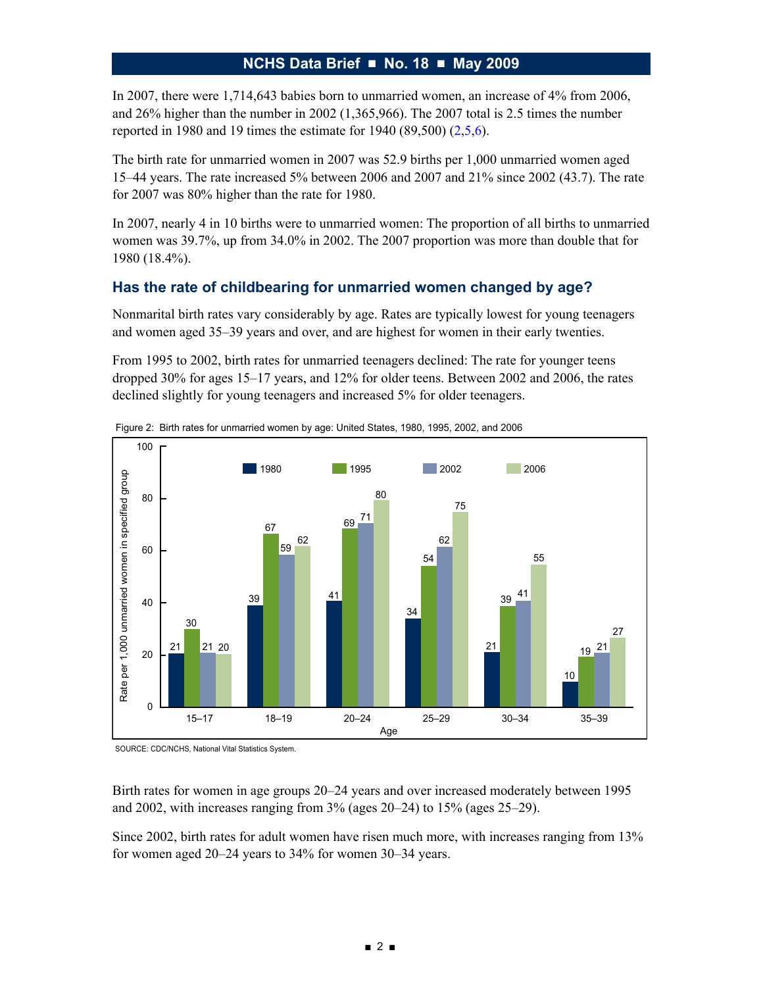In 2007, there were 1,714,643 babies born to unmarried women, an increase of 4% from 2006, and 26% higher than the number in 2002 (1,365,966). The 2007 total is 2.5 times the number reported in 1980 and 19 times the estimate for 1940  $(89,500)$   $(2,5,6)$  $(2,5,6)$  $(2,5,6)$  $(2,5,6)$ .

The birth rate for unmarried women in 2007 was 52.9 births per 1,000 unmarried women aged 15–44 years. The rate increased 5% between 2006 and 2007 and 21% since 2002 (43.7). The rate for 2007 was 80% higher than the rate for 1980.

In 2007, nearly 4 in 10 births were to unmarried women: The proportion of all births to unmarried women was 39.7%, up from 34.0% in 2002. The 2007 proportion was more than double that for 1980 (18.4%).

## **Has the rate of childbearing for unmarried women changed by age?**

Nonmarital birth rates vary considerably by age. Rates are typically lowest for young teenagers and women aged 35–39 years and over, and are highest for women in their early twenties.

From 1995 to 2002, birth rates for unmarried teenagers declined: The rate for younger teens dropped 30% for ages 15–17 years, and 12% for older teens. Between 2002 and 2006, the rates declined slightly for young teenagers and increased 5% for older teenagers.



Figure 2: Birth rates for unmarried women by age: United States, 1980, 1995, 2002, and 2006

SOURCE: CDC/NCHS, National Vital Statistics System.

Birth rates for women in age groups 20–24 years and over increased moderately between 1995 and 2002, with increases ranging from 3% (ages 20–24) to 15% (ages 25–29).

Since 2002, birth rates for adult women have risen much more, with increases ranging from 13% for women aged 20–24 years to 34% for women 30–34 years.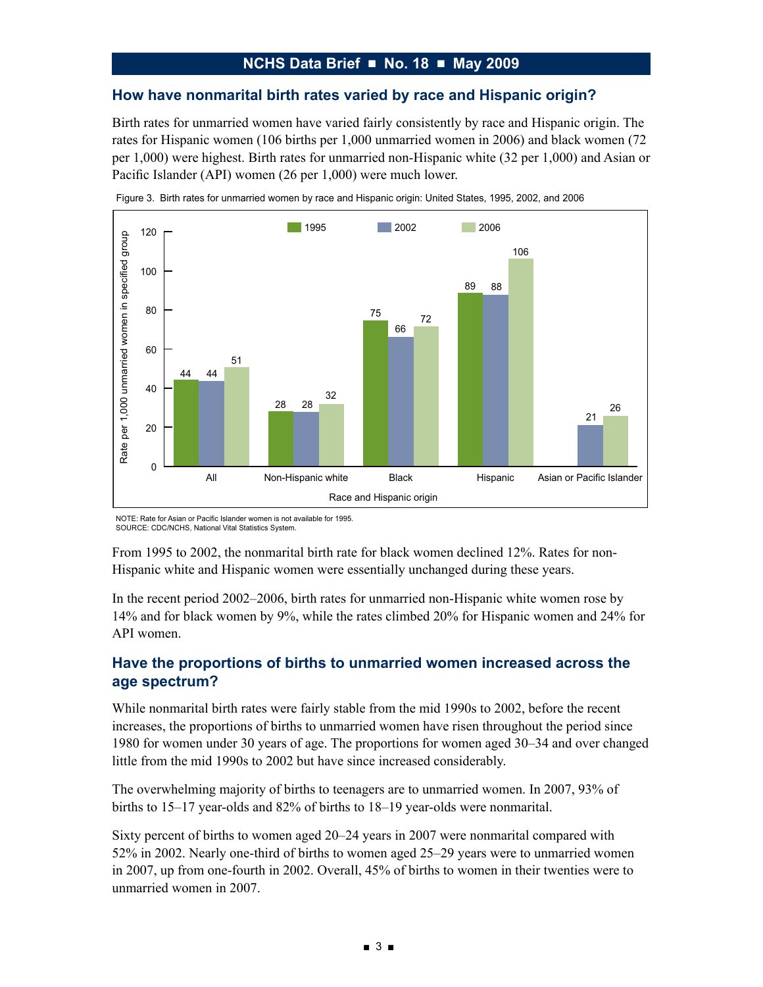## **How have nonmarital birth rates varied by race and Hispanic origin?**

Birth rates for unmarried women have varied fairly consistently by race and Hispanic origin. The rates for Hispanic women (106 births per 1,000 unmarried women in 2006) and black women (72 per 1,000) were highest. Birth rates for unmarried non-Hispanic white (32 per 1,000) and Asian or Pacific Islander (API) women (26 per 1,000) were much lower.



Figure 3. Birth rates for unmarried women by race and Hispanic origin: United States, 1995, 2002, and 2006

NOTE: Rate for Asian or Pacific Islander women is not available for 1995. SOURCE: CDC/NCHS, National Vital Statistics System.

From 1995 to 2002, the nonmarital birth rate for black women declined 12%. Rates for non-Hispanic white and Hispanic women were essentially unchanged during these years.

In the recent period 2002–2006, birth rates for unmarried non-Hispanic white women rose by 14% and for black women by 9%, while the rates climbed 20% for Hispanic women and 24% for API women.

# **Have the proportions of births to unmarried women increased across the age spectrum?**

While nonmarital birth rates were fairly stable from the mid 1990s to 2002, before the recent increases, the proportions of births to unmarried women have risen throughout the period since 1980 for women under 30 years of age. The proportions for women aged 30–34 and over changed little from the mid 1990s to 2002 but have since increased considerably.

The overwhelming majority of births to teenagers are to unmarried women. In 2007, 93% of births to 15–17 year-olds and 82% of births to 18–19 year-olds were nonmarital.

Sixty percent of births to women aged 20–24 years in 2007 were nonmarital compared with 52% in 2002. Nearly one-third of births to women aged 25–29 years were to unmarried women in 2007, up from one-fourth in 2002. Overall, 45% of births to women in their twenties were to unmarried women in 2007.

■ 3 ■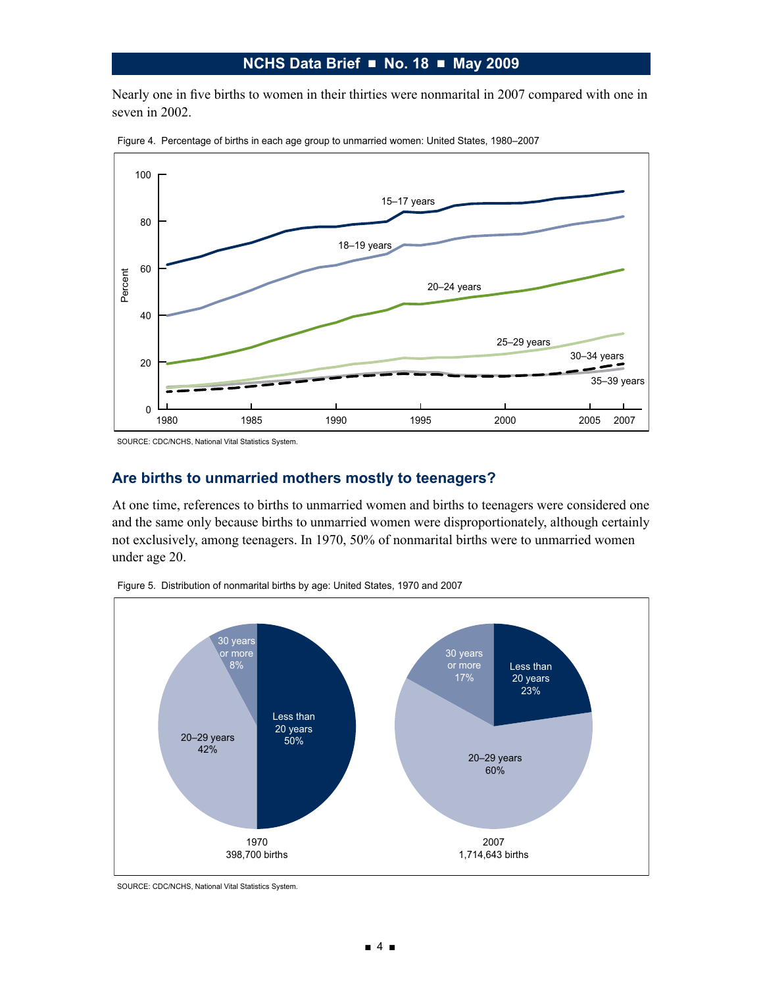Nearly one in five births to women in their thirties were nonmarital in 2007 compared with one in seven in 2002.



Figure 4. Percentage of births in each age group to unmarried women: United States, 1980–2007

SOURCE: CDC/NCHS, National Vital Statistics System.

## **Are births to unmarried mothers mostly to teenagers?**

At one time, references to births to unmarried women and births to teenagers were considered one and the same only because births to unmarried women were disproportionately, although certainly not exclusively, among teenagers. In 1970, 50% of nonmarital births were to unmarried women under age 20.



Figure 5. Distribution of nonmarital births by age: United States, 1970 and 2007

SOURCE: CDC/NCHS, National Vital Statistics System.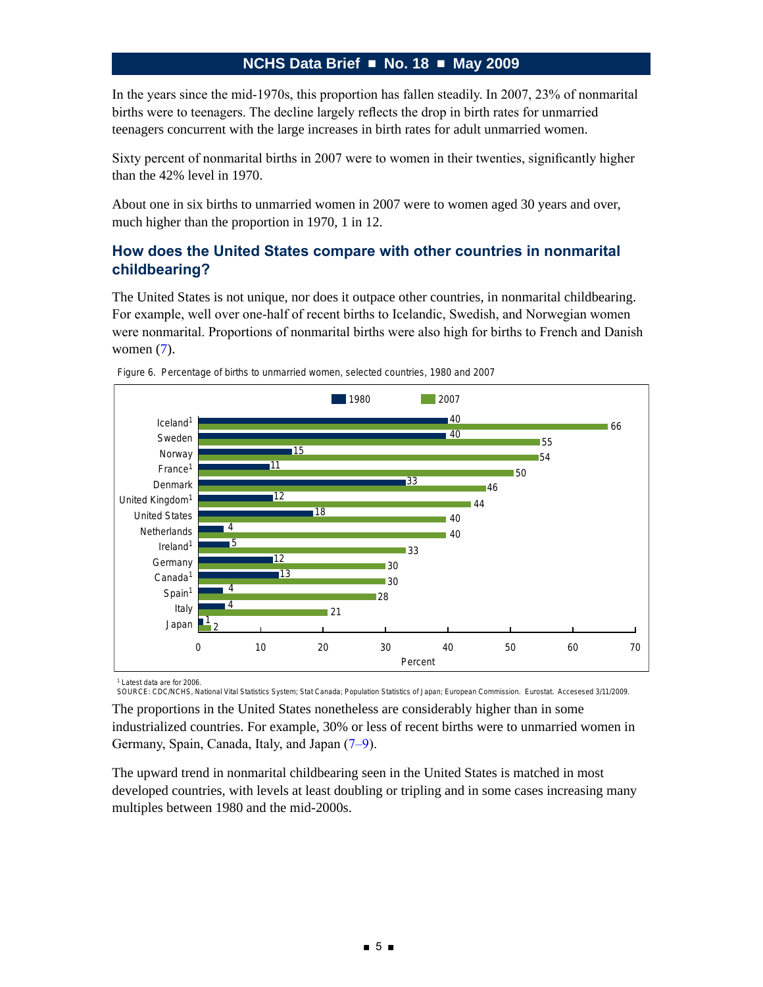In the years since the mid-1970s, this proportion has fallen steadily. In 2007, 23% of nonmarital births were to teenagers. The decline largely reflects the drop in birth rates for unmarried teenagers concurrent with the large increases in birth rates for adult unmarried women.

Sixty percent of nonmarital births in 2007 were to women in their twenties, significantly higher than the 42% level in 1970.

About one in six births to unmarried women in 2007 were to women aged 30 years and over, much higher than the proportion in 1970, 1 in 12.

## **How does the United States compare with other countries in nonmarital childbearing?**

The United States is not unique, nor does it outpace other countries, in nonmarital childbearing. For example, well over one-half of recent births to Icelandic, Swedish, and Norwegian women were nonmarital. Proportions of nonmarital births were also high for births to French and Danish women [\(7](#page-6-0)).





1 Latest data are for 2006.

<sup>1</sup> Latest data are for 2006.<br>SOURCE: CDC/NCHS, National Vital Statistics System; Stat Canada; Population Statistics of Japan; European Commission. Eurostat. Accesesed 3/11/2009.

The proportions in the United States nonetheless are considerably higher than in some industrialized countries. For example, 30% or less of recent births were to unmarried women in Germany, Spain, Canada, Italy, and Japan ([7–9\)](#page-6-0).

The upward trend in nonmarital childbearing seen in the United States is matched in most developed countries, with levels at least doubling or tripling and in some cases increasing many multiples between 1980 and the mid-2000s.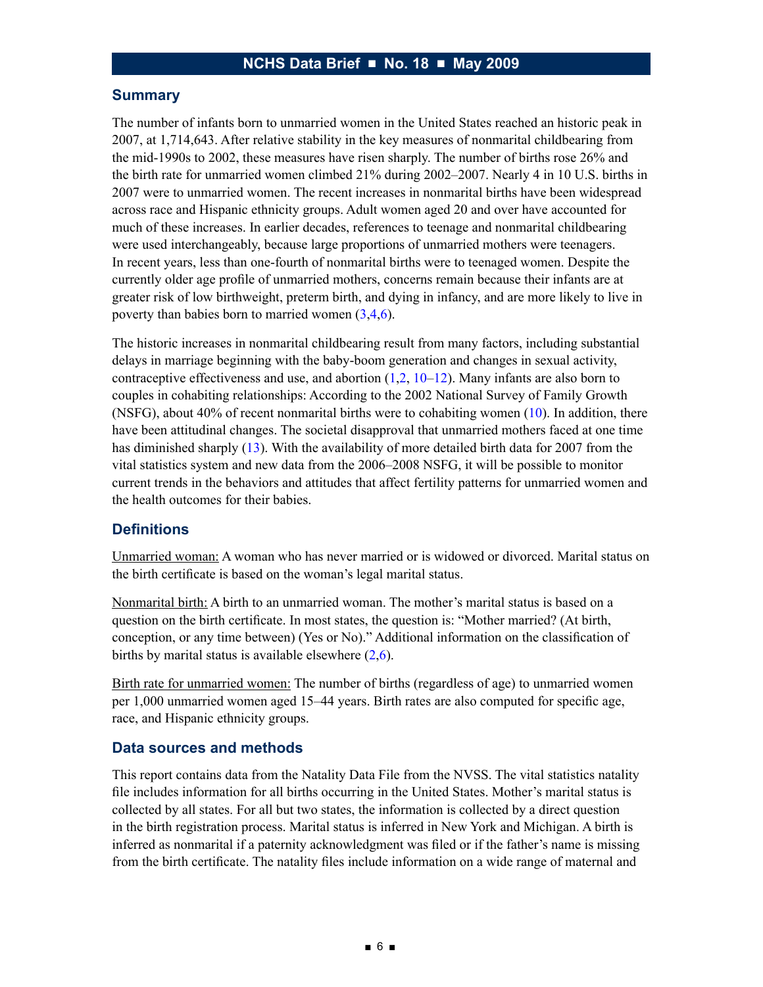## **Summary**

The number of infants born to unmarried women in the United States reached an historic peak in 2007, at 1,714,643. After relative stability in the key measures of nonmarital childbearing from the mid-1990s to 2002, these measures have risen sharply. The number of births rose 26% and the birth rate for unmarried women climbed 21% during 2002–2007. Nearly 4 in 10 U.S. births in 2007 were to unmarried women. The recent increases in nonmarital births have been widespread across race and Hispanic ethnicity groups. Adult women aged 20 and over have accounted for much of these increases. In earlier decades, references to teenage and nonmarital childbearing were used interchangeably, because large proportions of unmarried mothers were teenagers. In recent years, less than one-fourth of nonmarital births were to teenaged women. Despite the currently older age profile of unmarried mothers, concerns remain because their infants are at greater risk of low birthweight, preterm birth, and dying in infancy, and are more likely to live in poverty than babies born to married women [\(3,4,6\)](#page-6-0).

The historic increases in nonmarital childbearing result from many factors, including substantial delays in marriage beginning with the baby-boom generation and changes in sexual activity, contraceptive effectiveness and use, and abortion  $(1,2, 10-12)$ . Many infants are also born to couples in cohabiting relationships: According to the 2002 National Survey of Family Growth (NSFG), about 40% of recent nonmarital births were to cohabiting women [\(10\)](#page-6-0). In addition, there have been attitudinal changes. The societal disapproval that unmarried mothers faced at one time has diminished sharply ([13\)](#page-7-0). With the availability of more detailed birth data for 2007 from the vital statistics system and new data from the 2006–2008 NSFG, it will be possible to monitor current trends in the behaviors and attitudes that affect fertility patterns for unmarried women and the health outcomes for their babies.

## **Definitions**

Unmarried woman: A woman who has never married or is widowed or divorced. Marital status on the birth certificate is based on the woman's legal marital status.

Nonmarital birth: A birth to an unmarried woman. The mother's marital status is based on a question on the birth certificate. In most states, the question is: "Mother married? (At birth, conception, or any time between) (Yes or No)." Additional information on the classification of births by marital status is available elsewhere  $(2,6)$ .

Birth rate for unmarried women: The number of births (regardless of age) to unmarried women per 1,000 unmarried women aged 15–44 years. Birth rates are also computed for specific age, race, and Hispanic ethnicity groups.

## **Data sources and methods**

This report contains data from the Natality Data File from the NVSS. The vital statistics natality file includes information for all births occurring in the United States. Mother's marital status is collected by all states. For all but two states, the information is collected by a direct question in the birth registration process. Marital status is inferred in New York and Michigan. A birth is inferred as nonmarital if a paternity acknowledgment was filed or if the father's name is missing from the birth certificate. The natality files include information on a wide range of maternal and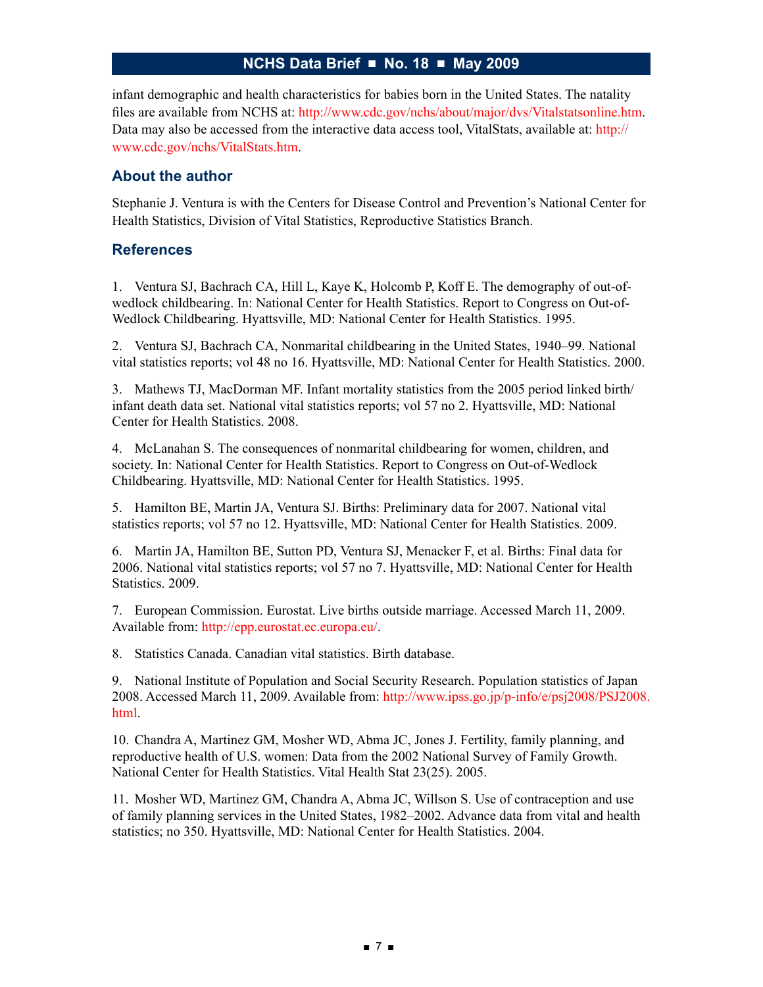<span id="page-6-0"></span>infant demographic and health characteristics for babies born in the United States. The natality files are available from NCHS at: [http://www.cdc.gov/nchs/about/major/dvs/Vitalstatsonline.ht](http://www.cdc.gov/nchs/about/major/dvs/Vitalstatsonline.htm)m. Data may also be accessed from the interactive data access tool, VitalStats, available at: [http://](http://www.cdc.gov/nchs/VitalStats.htm) [www.cdc.gov/nchs/VitalStats.htm.](http://www.cdc.gov/nchs/VitalStats.htm)

## **About the author**

Stephanie J. Ventura is with the Centers for Disease Control and Prevention's National Center for Health Statistics, Division of Vital Statistics, Reproductive Statistics Branch.

## **References**

1. Ventura SJ, Bachrach CA, Hill L, Kaye K, Holcomb P, Koff E. The demography of out-ofwedlock childbearing. In: National Center for Health Statistics. Report to Congress on Out-of-Wedlock Childbearing. Hyattsville, MD: National Center for Health Statistics. 1995.

2. Ventura SJ, Bachrach CA, Nonmarital childbearing in the United States, 1940–99. National vital statistics reports; vol 48 no 16. Hyattsville, MD: National Center for Health Statistics. 2000.

3. Mathews TJ, MacDorman MF. Infant mortality statistics from the 2005 period linked birth/ infant death data set. National vital statistics reports; vol 57 no 2. Hyattsville, MD: National Center for Health Statistics. 2008.

4. McLanahan S. The consequences of nonmarital childbearing for women, children, and society. In: National Center for Health Statistics. Report to Congress on Out-of-Wedlock Childbearing. Hyattsville, MD: National Center for Health Statistics. 1995.

5. Hamilton BE, Martin JA, Ventura SJ. Births: Preliminary data for 2007. National vital statistics reports; vol 57 no 12. Hyattsville, MD: National Center for Health Statistics. 2009.

6. Martin JA, Hamilton BE, Sutton PD, Ventura SJ, Menacker F, et al. Births: Final data for 2006. National vital statistics reports; vol 57 no 7. Hyattsville, MD: National Center for Health Statistics. 2009.

7. European Commission. Eurostat. Live births outside marriage. Accessed March 11, 2009. Available from: <http://epp.eurostat.ec.europa.eu/>.

8. Statistics Canada. Canadian vital statistics. Birth database.

9. National Institute of Population and Social Security Research. Population statistics of Japan 2008. Accessed March 11, 2009. Available from: [http://www.ipss.go.jp/p-info/e/psj2008/PSJ2008.](http://www.ipss.go.jp/p-info/e/psj2008/PSJ2008.html) [html](http://www.ipss.go.jp/p-info/e/psj2008/PSJ2008.html).

10. Chandra A, Martinez GM, Mosher WD, Abma JC, Jones J. Fertility, family planning, and reproductive health of U.S. women: Data from the 2002 National Survey of Family Growth. National Center for Health Statistics. Vital Health Stat 23(25). 2005.

11. Mosher WD, Martinez GM, Chandra A, Abma JC, Willson S. Use of contraception and use of family planning services in the United States, 1982–2002. Advance data from vital and health statistics; no 350. Hyattsville, MD: National Center for Health Statistics. 2004.